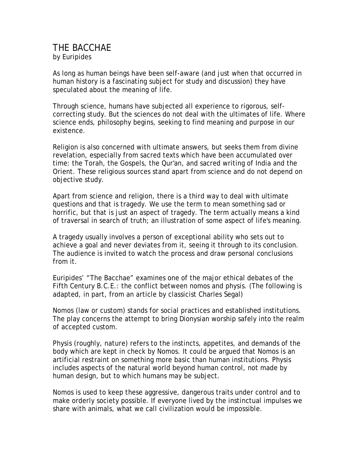## THE BACCHAE by Euripides

As long as human beings have been self-aware (and just when that occurred in human history is a fascinating subject for study and discussion) they have speculated about the meaning of life.

Through science, humans have subjected all experience to rigorous, selfcorrecting study. But the sciences do not deal with the ultimates of life. Where science ends, philosophy begins, seeking to find meaning and purpose in our existence.

Religion is also concerned with ultimate answers, but seeks them from divine revelation, especially from sacred texts which have been accumulated over time: the Torah, the Gospels, the Qur'an, and sacred writing of India and the Orient. These religious sources stand apart from science and do not depend on objective study.

Apart from science and religion, there is a third way to deal with ultimate questions and that is tragedy. We use the term to mean something sad or horrific, but that is just an aspect of tragedy. The term actually means a kind of traversal in search of truth; an illustration of some aspect of life's meaning.

A tragedy usually involves a person of exceptional ability who sets out to achieve a goal and never deviates from it, seeing it through to its conclusion. The audience is invited to watch the process and draw personal conclusions from it.

Euripides' "The Bacchae" examines one of the major ethical debates of the Fifth Century B.C.E.: the conflict between nomos and physis. (The following is adapted, in part, from an article by classicist Charles Segal)

Nomos (law or custom) stands for social practices and established institutions. The play concerns the attempt to bring Dionysian worship safely into the realm of accepted custom.

Physis (roughly, nature) refers to the instincts, appetites, and demands of the body which are kept in check by Nomos. It could be argued that Nomos is an artificial restraint on something more basic than human institutions. Physis includes aspects of the natural world beyond human control, not made by human design, but to which humans may be subject.

Nomos is used to keep these aggressive, dangerous traits under control and to make orderly society possible. If everyone lived by the instinctual impulses we share with animals, what we call civilization would be impossible.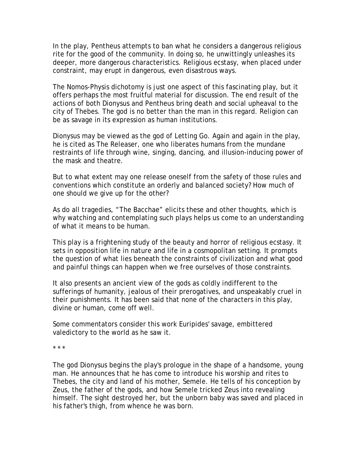In the play, Pentheus attempts to ban what he considers a dangerous religious rite for the good of the community. In doing so, he unwittingly unleashes its deeper, more dangerous characteristics. Religious ecstasy, when placed under constraint, may erupt in dangerous, even disastrous ways.

The Nomos-Physis dichotomy is just one aspect of this fascinating play, but it offers perhaps the most fruitful material for discussion. The end result of the actions of both Dionysus and Pentheus bring death and social upheaval to the city of Thebes. The god is no better than the man in this regard. Religion can be as savage in its expression as human institutions.

Dionysus may be viewed as the god of Letting Go. Again and again in the play, he is cited as The Releaser, one who liberates humans from the mundane restraints of life through wine, singing, dancing, and illusion-inducing power of the mask and theatre.

But to what extent may one release oneself from the safety of those rules and conventions which constitute an orderly and balanced society? How much of one should we give up for the other?

As do all tragedies, "The Bacchae" elicits these and other thoughts, which is why watching and contemplating such plays helps us come to an understanding of what it means to be human.

This play is a frightening study of the beauty and horror of religious ecstasy. It sets in opposition life in nature and life in a cosmopolitan setting. It prompts the question of what lies beneath the constraints of civilization and what good and painful things can happen when we free ourselves of those constraints.

It also presents an ancient view of the gods as coldly indifferent to the sufferings of humanity, jealous of their prerogatives, and unspeakably cruel in their punishments. It has been said that none of the characters in this play, divine or human, come off well.

Some commentators consider this work Euripides' savage, embittered valedictory to the world as he saw it.

\* \* \*

The god Dionysus begins the play's prologue in the shape of a handsome, young man. He announces that he has come to introduce his worship and rites to Thebes, the city and land of his mother, Semele. He tells of his conception by Zeus, the father of the gods, and how Semele tricked Zeus into revealing himself. The sight destroyed her, but the unborn baby was saved and placed in his father's thigh, from whence he was born.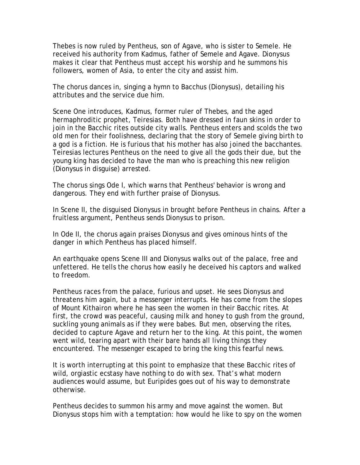Thebes is now ruled by Pentheus, son of Agave, who is sister to Semele. He received his authority from Kadmus, father of Semele and Agave. Dionysus makes it clear that Pentheus must accept his worship and he summons his followers, women of Asia, to enter the city and assist him.

The chorus dances in, singing a hymn to Bacchus (Dionysus), detailing his attributes and the service due him.

Scene One introduces, Kadmus, former ruler of Thebes, and the aged hermaphroditic prophet, Teiresias. Both have dressed in faun skins in order to join in the Bacchic rites outside city walls. Pentheus enters and scolds the two old men for their foolishness, declaring that the story of Semele giving birth to a god is a fiction. He is furious that his mother has also joined the bacchantes. Teiresias lectures Pentheus on the need to give all the gods their due, but the young king has decided to have the man who is preaching this new religion (Dionysus in disguise) arrested.

The chorus sings Ode I, which warns that Pentheus' behavior is wrong and dangerous. They end with further praise of Dionysus.

In Scene II, the disguised Dionysus in brought before Pentheus in chains. After a fruitless argument, Pentheus sends Dionysus to prison.

In Ode II, the chorus again praises Dionysus and gives ominous hints of the danger in which Pentheus has placed himself.

An earthquake opens Scene III and Dionysus walks out of the palace, free and unfettered. He tells the chorus how easily he deceived his captors and walked to freedom.

Pentheus races from the palace, furious and upset. He sees Dionysus and threatens him again, but a messenger interrupts. He has come from the slopes of Mount Kithairon where he has seen the women in their Bacchic rites. At first, the crowd was peaceful, causing milk and honey to gush from the ground, suckling young animals as if they were babes. But men, observing the rites, decided to capture Agave and return her to the king. At this point, the women went wild, tearing apart with their bare hands all living things they encountered. The messenger escaped to bring the king this fearful news.

It is worth interrupting at this point to emphasize that these Bacchic rites of wild, orgiastic ecstasy have nothing to do with sex. That's what modern audiences would assume, but Euripides goes out of his way to demonstrate otherwise.

Pentheus decides to summon his army and move against the women. But Dionysus stops him with a temptation: how would he like to spy on the women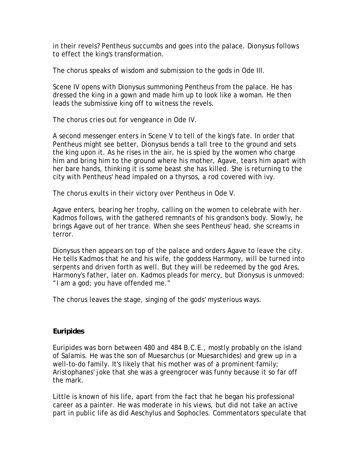in their revels? Pentheus succumbs and goes into the palace. Dionysus follows to effect the king's transformation.

The chorus speaks of wisdom and submission to the gods in Ode III.

Scene IV opens with Dionysus summoning Pentheus from the palace. He has dressed the king in a gown and made him up to look like a woman. He then leads the submissive king off to witness the revels.

The chorus cries out for vengeance in Ode IV.

A second messenger enters in Scene V to tell of the king's fate. In order that Pentheus might see better, Dionysus bends a tall tree to the ground and sets the king upon it. As he rises in the air, he is spied by the women who charge him and bring him to the ground where his mother, Agave, tears him apart with her bare hands, thinking it is some beast she has killed. She is returning to the city with Pentheus' head impaled on a thyrsos, a rod covered with ivy.

The chorus exults in their victory over Pentheus in Ode V.

Agave enters, bearing her trophy, calling on the women to celebrate with her. Kadmos follows, with the gathered remnants of his grandson's body. Slowly, he brings Agave out of her trance. When she sees Pentheus' head, she screams in terror.

Dionysus then appears on top of the palace and orders Agave to leave the city. He tells Kadmos that he and his wife, the goddess Harmony, will be turned into serpents and driven forth as well. But they will be redeemed by the god Ares, Harmony's father, later on. Kadmos pleads for mercy, but Dionysus is unmoved: "I am a god; you have offended me."

The chorus leaves the stage, singing of the gods' mysterious ways.

## **Euripides**

Euripides was born between 480 and 484 B.C.E., mostly probably on the island of Salamis. He was the son of Muesarchus (or Muesarchides) and grew up in a well-to-do family. It's likely that his mother was of a prominent family; Aristophanes' joke that she was a greengrocer was funny because it so far off the mark.

Little is known of his life, apart from the fact that he began his professional career as a painter. He was moderate in his views, but did not take an active part in public life as did Aeschylus and Sophocles. Commentators speculate that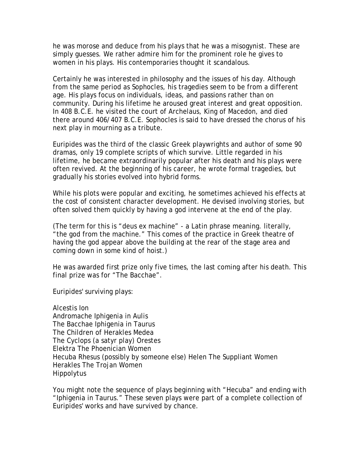he was morose and deduce from his plays that he was a misogynist. These are simply guesses. We rather admire him for the prominent role he gives to women in his plays. His contemporaries thought it scandalous.

Certainly he was interested in philosophy and the issues of his day. Although from the same period as Sophocles, his tragedies seem to be from a different age. His plays focus on individuals, ideas, and passions rather than on community. During his lifetime he aroused great interest and great opposition. In 408 B.C.E. he visited the court of Archelaus, King of Macedon, and died there around 406/407 B.C.E. Sophocles is said to have dressed the chorus of his next play in mourning as a tribute.

Euripides was the third of the classic Greek playwrights and author of some 90 dramas, only 19 complete scripts of which survive. Little regarded in his lifetime, he became extraordinarily popular after his death and his plays were often revived. At the beginning of his career, he wrote formal tragedies, but gradually his stories evolved into hybrid forms.

While his plots were popular and exciting, he sometimes achieved his effects at the cost of consistent character development. He devised involving stories, but often solved them quickly by having a god intervene at the end of the play.

(The term for this is "deus ex machine" - a Latin phrase meaning. literally, "the god from the machine." This comes of the practice in Greek theatre of having the god appear above the building at the rear of the stage area and coming down in some kind of hoist.)

He was awarded first prize only five times, the last coming after his death. This final prize was for "The Bacchae".

Euripides' surviving plays:

Alcestis Ion Andromache Iphigenia in Aulis The Bacchae Iphigenia in Taurus The Children of Herakles Medea The Cyclops (a satyr play) Orestes Elektra The Phoenician Women Hecuba Rhesus (possibly by someone else) Helen The Suppliant Women Herakles The Trojan Women Hippolytus

You might note the sequence of plays beginning with "Hecuba" and ending with "Iphigenia in Taurus." These seven plays were part of a complete collection of Euripides' works and have survived by chance.